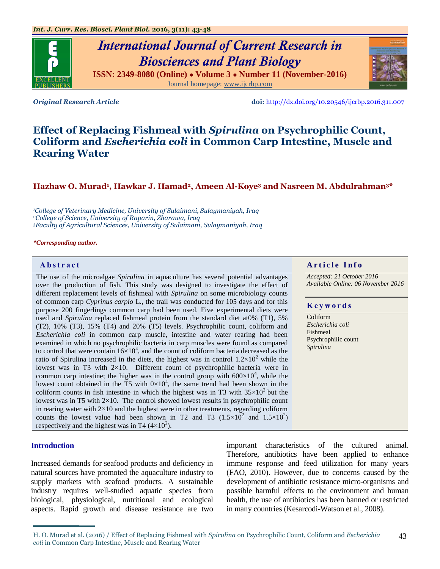# *International Journal of Current Research in Biosciences and Plant Biology*

**ISSN: 2349-8080 (Online) ● Volume 3 ● Number 11 (November-2016)** Journal homepage: [www.ijcrbp.com](http://www.ijcrbp.com/)

*Original Research Article* **doi:** <http://dx.doi.org/10.20546/ijcrbp.2016.311.007>

## **Effect of Replacing Fishmeal with** *Spirulina* **on Psychrophilic Count, Coliform and** *Escherichia coli* **in Common Carp Intestine, Muscle and Rearing Water**

#### **Hazhaw O. Murad<sup>1</sup> , Hawkar J. Hamad2, Ameen Al-Koye<sup>3</sup> and Nasreen M. Abdulrahman3\***

*<sup>1</sup>College of Veterinary Medicine, University of Sulaimani, Sulaymaniyah, Iraq <sup>2</sup>College of Science, University of Raparin, Zharawa, Iraq <sup>3</sup>Faculty of Agricultural Sciences, University of Sulaimani, Sulaymaniyah, Iraq*

#### *\*Corresponding author.*

The use of the microalgae *Spirulina* in aquaculture has several potential advantages over the production of fish. This study was designed to investigate the effect of different replacement levels of fishmeal with *Spirulina* on some microbiology counts of common carp *Cyprinus carpio* L., the trail was conducted for 105 days and for this purpose 200 fingerlings common carp had been used. Five experimental diets were used and *Spirulina* replaced fishmeal protein from the standard diet at0% (T1), 5% (T2), 10% (T3), 15% (T4) and 20% (T5) levels. Psychrophilic count, coliform and *Escherichia coli* in common carp muscle, intestine and water rearing had been examined in which no psychrophilic bacteria in carp muscles were found as compared to control that were contain  $16\times10^4$ , and the count of coliform bacteria decreased as the ratio of Spirulina increased in the diets, the highest was in control  $1.2 \times 10^2$  while the lowest was in T3 with 2×10. Different count of psychrophilic bacteria were in common carp intestine; the higher was in the control group with  $600\times10^4$ , while the lowest count obtained in the  $\overline{T5}$  with  $0\times10^4$ , the same trend had been shown in the coliform counts in fish intestine in which the highest was in T3 with  $35\times10^2$  but the lowest was in T5 with  $2\times10$ . The control showed lowest results in psychrophilic count in rearing water with  $2\times10$  and the highest were in other treatments, regarding coliform counts the lowest value had been shown in T2 and T3  $(1.5 \times 10^2)$  and  $1.5 \times 10^2$ ) respectively and the highest was in T4  $(4\times10^2)$ .

#### **Introduction**

Increased demands for seafood products and deficiency in natural sources have promoted the aquaculture industry to supply markets with seafood products. A sustainable industry requires well-studied aquatic species from biological, physiological, nutritional and ecological aspects. Rapid growth and disease resistance are two

important characteristics of the cultured animal. Therefore, antibiotics have been applied to enhance immune response and feed utilization for many years (FAO, 2010). However, due to concerns caused by the development of antibiotic resistance micro-organisms and possible harmful effects to the environment and human health, the use of antibiotics has been banned or restricted in many countries (Kesarcodi-Watson et al., 2008).

#### **Abstract A A** r **i** c *A* **r i c l e I n f o**

*Accepted: 21 October 2016 Available Online: 06 November 2016*

#### **K e y w o r d s**

Coliform *Escherichia coli* Fishmeal Psychrophilic count *Spirulina*



H. O. Murad et al. (2016) / Effect of Replacing Fishmeal with *Spirulina* on Psychrophilic Count, Coliform and *Escherichia coli* in Common Carp Intestine, Muscle and Rearing Water 43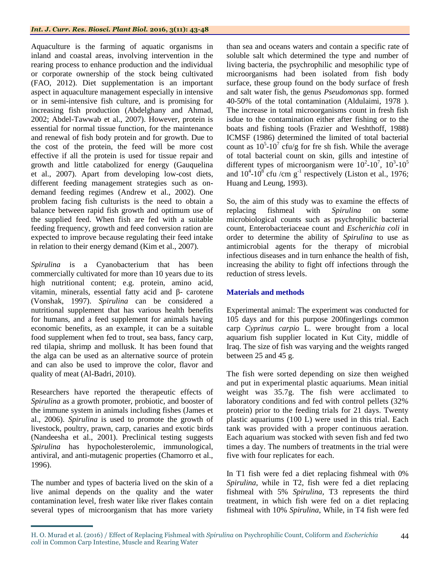Aquaculture is the farming of aquatic organisms in inland and coastal areas, involving intervention in the rearing process to enhance production and the individual or corporate ownership of the stock being cultivated (FAO, 2012). Diet supplementation is an important aspect in aquaculture management especially in intensive or in semi-intensive fish culture, and is promising for increasing fish production (Abdelghany and Ahmad, 2002; Abdel-Tawwab et al., 2007). However, protein is essential for normal tissue function, for the maintenance and renewal of fish body protein and for growth. Due to the cost of the protein, the feed will be more cost effective if all the protein is used for tissue repair and growth and little catabolized for energy (Gauquelina et al., 2007). Apart from developing low-cost diets, different feeding management strategies such as ondemand feeding regimes (Andrew et al., 2002). One problem facing fish culturists is the need to obtain a balance between rapid fish growth and optimum use of the supplied feed. When fish are fed with a suitable feeding frequency, growth and feed conversion ration are expected to improve because regulating their feed intake in relation to their energy demand (Kim et al., 2007).

*Spirulina* is a Cyanobacterium that has been commercially cultivated for more than 10 years due to its high nutritional content; e.g. protein, amino acid, vitamin, minerals, essential fatty acid and β- carotene (Vonshak, 1997). *Spirulina* can be considered a nutritional supplement that has various health benefits for humans, and a feed supplement for animals having economic benefits, as an example, it can be a suitable food supplement when fed to trout, sea bass, fancy carp, red tilapia, shrimp and mollusk. It has been found that the alga can be used as an alternative source of protein and can also be used to improve the color, flavor and quality of meat (Al-Badri, 2010).

Researchers have reported the therapeutic effects of *Spirulina* as a growth promoter, probiotic, and booster of the immune system in animals including fishes (James et al., 2006). *Spirulina* is used to promote the growth of livestock, poultry, prawn, carp, canaries and exotic birds (Nandeesha et al., 2001). Preclinical testing suggests *Spirulina* has hypocholesterolemic, immunological, antiviral, and anti-mutagenic properties (Chamorro et al., 1996).

The number and types of bacteria lived on the skin of a live animal depends on the quality and the water contamination level, fresh water like river flakes contain several types of microorganism that has more variety

than sea and oceans waters and contain a specific rate of soluble salt which determined the type and number of living bacteria, the psychrophilic and mesophilic type of microorganisms had been isolated from fish body surface, these group found on the body surface of fresh and salt water fish, the genus *Pseudomonas* spp. formed 40-50% of the total contamination (Aldulaimi, 1978 ). The increase in total microorganisms count in fresh fish isdue to the contamination either after fishing or to the boats and fishing tools (Frazier and Weshthoff, 1988) ICMSF (1986) determined the limited of total bacterial count as  $10^5$ - $10^7$  cfu/g for fre sh fish. While the average of total bacterial count on skin, gills and intestine of different types of microorganism were  $10^2$ - $10^7$ ,  $10^3$ - $10^5$ and  $10^4$ - $10^8$  cfu /cm g<sup>-1</sup> respectively (Liston et al., 1976; Huang and Leung, 1993).

So, the aim of this study was to examine the effects of replacing fishmeal with *Spirulina* on some microbiological counts such as psychrophilic bacterial count, Enterobacteriaceae count and *Escherichia coli* in order to determine the ability of *Spirulina* to use as antimicrobial agents for the therapy of microbial infectious diseases and in turn enhance the health of fish, increasing the ability to fight off infections through the reduction of stress levels.

### **Materials and methods**

Experimental animal: The experiment was conducted for 105 days and for this purpose 200fingerlings common carp *Cyprinus carpio* L. were brought from a local aquarium fish supplier located in Kut City, middle of Iraq. The size of fish was varying and the weights ranged between 25 and 45 g.

The fish were sorted depending on size then weighed and put in experimental plastic aquariums. Mean initial weight was 35.7g. The fish were acclimated to laboratory conditions and fed with control pellets (32% protein) prior to the feeding trials for 21 days. Twenty plastic aquariums (100 L) were used in this trial. Each tank was provided with a proper continuous aeration. Each aquarium was stocked with seven fish and fed two times a day. The numbers of treatments in the trial were five with four replicates for each.

In T1 fish were fed a diet replacing fishmeal with 0% *Spirulina*, while in T2, fish were fed a diet replacing fishmeal with 5% *Spirulina*, T3 represents the third treatment, in which fish were fed on a diet replacing fishmeal with 10% *Spirulina*, While, in T4 fish were fed

H. O. Murad et al. (2016) / Effect of Replacing Fishmeal with *Spirulina* on Psychrophilic Count, Coliform and *Escherichia coli* in Common Carp Intestine, Muscle and Rearing Water 44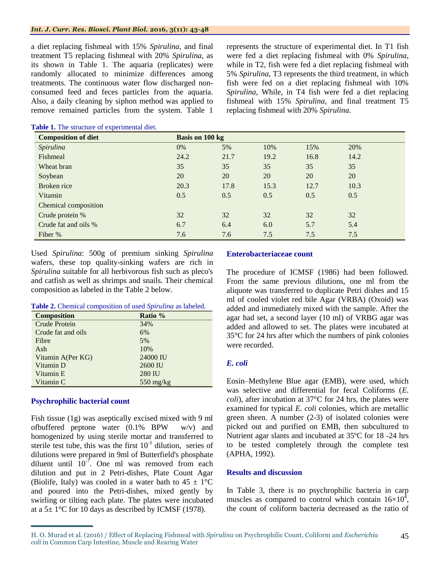#### *Int. J. Curr. Res. Biosci. Plant Biol.* **2016, 3(11): 43-48**

a diet replacing fishmeal with 15% *Spirulina*, and final treatment T5 replacing fishmeal with 20% *Spirulina*, as its shown in Table 1. The aquaria (replicates) were randomly allocated to minimize differences among treatments. The continuous water flow discharged nonconsumed feed and feces particles from the aquaria. Also, a daily cleaning by siphon method was applied to remove remained particles from the system. Table 1

represents the structure of experimental diet. In T1 fish were fed a diet replacing fishmeal with 0% *Spirulina*, while in T2, fish were fed a diet replacing fishmeal with 5% *Spirulina*, T3 represents the third treatment, in which fish were fed on a diet replacing fishmeal with 10% *Spirulina*, While, in T4 fish were fed a diet replacing fishmeal with 15% *Spirulina*, and final treatment T5 replacing fishmeal with 20% *Spirulina*.

| <b>Composition of diet</b> | Basis on 100 kg |      |      |      |      |
|----------------------------|-----------------|------|------|------|------|
| Spirulina                  | 0%              | 5%   | 10%  | 15%  | 20%  |
| Fishmeal                   | 24.2            | 21.7 | 19.2 | 16.8 | 14.2 |
| Wheat bran                 | 35              | 35   | 35   | 35   | 35   |
| Soybean                    | 20              | 20   | 20   | 20   | 20   |
| Broken rice                | 20.3            | 17.8 | 15.3 | 12.7 | 10.3 |
| Vitamin                    | 0.5             | 0.5  | 0.5  | 0.5  | 0.5  |
| Chemical composition       |                 |      |      |      |      |
| Crude protein %            | 32              | 32   | 32   | 32   | 32   |
| Crude fat and oils %       | 6.7             | 6.4  | 6.0  | 5.7  | 5.4  |
| Fiber %                    | 7.6             | 7.6  | 7.5  | 7.5  | 7.5  |

**Table 1.** The structure of experimental diet.

Used *Spirulina*: 500g of premium sinking *Spirulina* wafers, these top quality-sinking wafers are rich in *Spirulina* suitable for all herbivorous fish such as pleco's and catfish as well as shrimps and snails. Their chemical composition as labeled in the Table 2 below.

|  |  | Table 2. Chemical composition of used Spirulina as labeled. |  |  |  |
|--|--|-------------------------------------------------------------|--|--|--|
|--|--|-------------------------------------------------------------|--|--|--|

| <b>Composition</b> | Ratio %             |
|--------------------|---------------------|
| Crude Protein      | 34%                 |
| Crude fat and oils | 6%                  |
| Fibre              | 5%                  |
| Ash                | 10%                 |
| Vitamin A(Per KG)  | 24000 IU            |
| Vitamin D          | 2600 IU             |
| Vitamin E          | <b>280 IU</b>       |
| Vitamin C          | $550 \text{ mg/kg}$ |

#### **Psychrophilic bacterial count**

Fish tissue (1g) was aseptically excised mixed with 9 ml ofbuffered peptone water (0.1% BPW w/v) and homogenized by using sterile mortar and transferred to sterile test tube, this was the first  $10^{-1}$  dilution, series of dilutions were prepared in 9ml of Butterfield's phosphate diluent until  $10^{-7}$ . One ml was removed from each dilution and put in 2 Petri-dishes, Plate Count Agar (Biolife, Italy) was cooled in a water bath to  $45 \pm 1^{\circ}C$ and poured into the Petri-dishes, mixed gently by swirling or tilting each plate. The plates were incubated at a  $5\pm 1^{\circ}$ C for 10 days as described by ICMSF (1978).

#### **Enterobacteriaceae count**

The procedure of ICMSF (1986) had been followed. From the same previous dilutions, one ml from the aliquote was transferred to duplicate Petri dishes and 15 ml of cooled violet red bile Agar (VRBA) (Oxoid) was added and immediately mixed with the sample. After the agar had set, a second layer (10 ml) of VRBG agar was added and allowed to set. The plates were incubated at 35°C for 24 hrs after which the numbers of pink colonies were recorded.

#### *E. coli*

Eosin–Methylene Blue agar (EMB), were used, which was selective and differential for fecal Coliforms (*E. coli*), after incubation at 37°C for 24 hrs, the plates were examined for typical *E. coli* colonies, which are metallic green sheen. A number (2-3) of isolated colonies were picked out and purified on EMB, then subcultured to Nutrient agar slants and incubated at 35ºC for 18 -24 hrs to be tested completely through the complete test (APHA, 1992).

#### **Results and discussion**

In Table 3, there is no psychrophilic bacteria in carp muscles as compared to control which contain  $16\times10^4$ , the count of coliform bacteria decreased as the ratio of

H. O. Murad et al. (2016) / Effect of Replacing Fishmeal with *Spirulina* on Psychrophilic Count, Coliform and *Escherichia coli* in Common Carp Intestine, Muscle and Rearing Water 45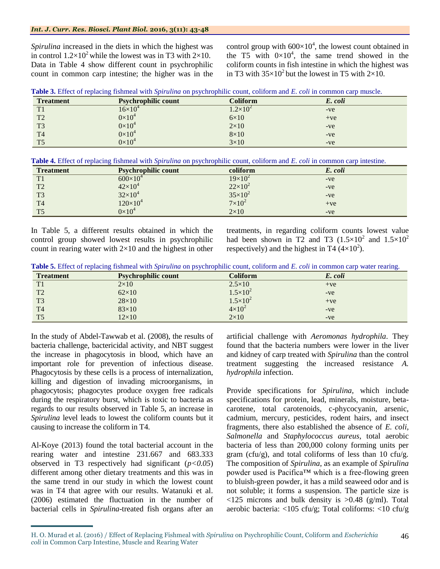#### *Int. J. Curr. Res. Biosci. Plant Biol.* **2016, 3(11): 43-48**

*Spirulina* increased in the diets in which the highest was in control  $1.2 \times 10^2$  while the lowest was in T3 with 2×10. Data in Table 4 show different count in psychrophilic count in common carp intestine; the higher was in the

control group with  $600 \times 10^4$ , the lowest count obtained in the T5 with  $0 \times 10^4$ , the same trend showed in the coliform counts in fish intestine in which the highest was in T3 with  $35\times10^2$  but the lowest in T5 with  $2\times10$ .

| Table 3. Effect of replacing fishmeal with Spirulina on psychrophilic count, coliform and E. coli in common carp muscle. |
|--------------------------------------------------------------------------------------------------------------------------|
|--------------------------------------------------------------------------------------------------------------------------|

| <b>Treatment</b> | <b>Psychrophilic count</b> | <b>Coliform</b>   | E. coli |  |
|------------------|----------------------------|-------------------|---------|--|
| T <sub>1</sub>   | $16\!\!\times\!\!10^4$     | $1.2\times10^{2}$ | $-ve$   |  |
| T <sub>2</sub>   | $0\times10^4$              | $6\times10$       | $+ve$   |  |
| T <sub>3</sub>   | $0\times10^4$              | $2\times10$       | $-ve$   |  |
| T <sub>4</sub>   | $0\times10^4$              | $8\times10$       | $-ve$   |  |
| T <sub>5</sub>   | $0\times10^4$              | $3\times10$       | $-ve$   |  |

**Table 4.** Effect of replacing fishmeal with *Spirulina* on psychrophilic count, coliform and *E. coli* in common carp intestine.

| <b>Treatment</b> | <b>Psychrophilic count</b> | coliform         | E. coli |
|------------------|----------------------------|------------------|---------|
| T1               | $600\times10^{4}$          | $19\times10^{2}$ | $-ve$   |
| T2               | $42\times10^4$             | $22\times10^2$   | $-ve$   |
| T <sub>3</sub>   | $32\times10^4$             | $35\times10^2$   | $-ve$   |
| <b>T4</b>        | $120\times10^{4}$          | $7\times10^2$    | $+ve$   |
| T <sub>5</sub>   | $0\times10^4$              | $2\times10$      | $-ve$   |

In Table 5, a different results obtained in which the control group showed lowest results in psychrophilic count in rearing water with  $2\times10$  and the highest in other treatments, in regarding coliform counts lowest value had been shown in T2 and T3  $(1.5 \times 10^2 \text{ and } 1.5 \times 10^2 \text{)}$ respectively) and the highest in T4  $(4\times10^2)$ .

**Table 5.** Effect of replacing fishmeal with *Spirulina* on psychrophilic count, coliform and *E. coli* in common carp water rearing.

| <b>Treatment</b> | <b>Psychrophilic count</b> | <b>Coliform</b>     | E. coli |
|------------------|----------------------------|---------------------|---------|
| T1               | $2\times10$                | $2.5\times10$       | $+ve$   |
| T <sub>2</sub>   | $62\times10$               | $1.5 \times 10^{2}$ | $-ve$   |
| T <sub>3</sub>   | $28\times10$               | $1.5 \times 10^{2}$ | $+ve$   |
| T <sub>4</sub>   | $83\times10$               | $4\times10^2$       | $-ve$   |
| T <sub>5</sub>   | $12\times10$               | $2\times10$         | $-ve$   |

In the study of Abdel-Tawwab et al. (2008), the results of bacteria challenge, bactericidal activity, and NBT suggest the increase in phagocytosis in blood, which have an important role for prevention of infectious disease. Phagocytosis by these cells is a process of internalization, killing and digestion of invading microorganisms, in phagocytosis; phagocytes produce oxygen free radicals during the respiratory burst, which is toxic to bacteria as regards to our results observed in Table 5, an increase in *Spirulina* level leads to lowest the coliform counts but it causing to increase the coliform in T4.

Al-Koye (2013) found the total bacterial account in the rearing water and intestine 231.667 and 683.333 observed in T3 respectively had significant  $(p<0.05)$ different among other dietary treatments and this was in the same trend in our study in which the lowest count was in T4 that agree with our results. Watanuki et al. (2006) estimated the fluctuation in the number of bacterial cells in *Spirulina*-treated fish organs after an

artificial challenge with *Aeromonas hydrophila*. They found that the bacteria numbers were lower in the liver and kidney of carp treated with *Spirulina* than the control treatment suggesting the increased resistance *A. hydrophila* infection.

Provide specifications for *Spirulina,* which include specifications for protein, lead, minerals, moisture, betacarotene, total carotenoids, c-phycocyanin, arsenic, cadmium, mercury, pesticides, rodent hairs, and insect fragments, there also established the absence of *E. coli*, *Salmonella* and *Staphylococcus aureus*, total aerobic bacteria of less than 200,000 colony forming units per gram (cfu/g), and total coliforms of less than 10 cfu/g. The composition of *Spirulina*, as an example of *Spirulina*  powder used is Pacifica™ which is a free-flowing green to bluish-green powder, it has a mild seaweed odor and is not soluble; it forms a suspension. The particle size is  $\langle 125 \text{ microns}$  and bulk density is  $>0.48$  (g/ml). Total aerobic bacteria: <105 cfu/g; Total coliforms: <10 cfu/g

H. O. Murad et al. (2016) / Effect of Replacing Fishmeal with *Spirulina* on Psychrophilic Count, Coliform and *Escherichia coli* in Common Carp Intestine, Muscle and Rearing Water 46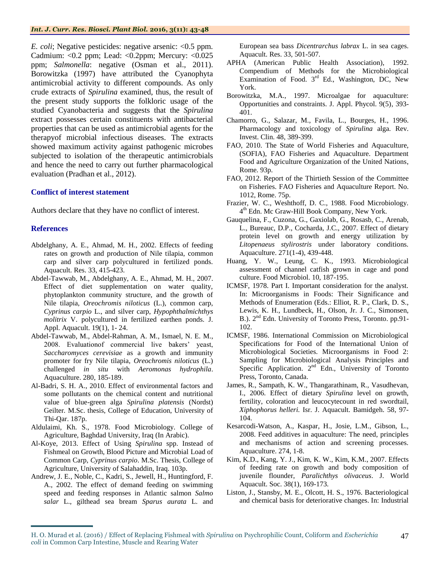*E. coli*; Negative pesticides: negative arsenic: <0.5 ppm. Cadmium: <0.2 ppm; Lead: <0.2ppm; Mercury: <0.025 ppm; *Salmonella*: negative (Osman et al., 2011). Borowitzka (1997) have attributed the Cyanophyta antimicrobial activity to different compounds. As only crude extracts of *Spirulina* examined, thus, the result of the present study supports the folkloric usage of the studied Cyanobacteria and suggests that the *Spirulina* extract possesses certain constituents with antibacterial properties that can be used as antimicrobial agents for the therapyof microbial infectious diseases. The extracts showed maximum activity against pathogenic microbes subjected to isolation of the therapeutic antimicrobials and hence the need to carry out further pharmacological evaluation (Pradhan et al., 2012).

#### **Conflict of interest statement**

Authors declare that they have no conflict of interest.

#### **References**

- Abdelghany, A. E., Ahmad, M. H., 2002. Effects of feeding rates on growth and production of Nile tilapia, common carp and silver carp polycultured in fertilized ponds. Aquacult. Res. 33, 415-423.
- Abdel-Tawwab, M., Abdelghany, A. E., Ahmad, M. H., 2007. Effect of diet supplementation on water quality, phytoplankton community structure, and the growth of Nile tilapia, *Oreochromis niloticus* (L.), common carp, *Cyprinus carpio* L., and silver carp, *Hypophthalmichthys molitrix* V. polycultured in fertilized earthen ponds. J. Appl. Aquacult. 19(1), 1- 24.
- Abdel-Tawwab, M., Abdel-Rahman, A. M., Ismael, N. E. M., 2008. Evaluationof commercial live bakers' yeast, *Saccharomyces cerevisiae* as a growth and immunity promoter for fry Nile tilapia, *Oreochromis niloticus* (L.) challenged *in situ* with *Aeromonas hydrophila*. Aquaculture. 280, 185-189.
- Al-Badri, S. H. A., 2010. Effect of environmental factors and some pollutants on the chemical content and nutritional value of blue-green alga *Spirulina platensis* (Nordst) Geilter*.* M.Sc. thesis, College of Education, University of Thi-Qar. 187p.
- Aldulaimi, Kh. S., 1978. Food Microbiology. College of Agriculture, Baghdad University, Iraq (In Arabic).
- Al-Koye, 2013. Effect of Using *Spirulina* spp. Instead of Fishmeal on Growth, Blood Picture and Microbial Load of Common Carp, *Cyprinus carpio*. M.Sc. Thesis, College of Agriculture, University of Salahaddin, Iraq. 103p.
- Andrew, J. E., Noble, C., Kadri, S., Jewell, H., Huntingford, F. A., 2002. The effect of demand feeding on swimming speed and feeding responses in Atlantic salmon *Salmo salar* L., gilthead sea bream *Sparus aurata* L. and

European sea bass *Dicentrarchus labrax* L. in sea cages. Aquacult. Res. 33, 501-507.

- APHA (American Public Health Association), 1992. Compendium of Methods for the Microbiological Examination of Food.  $3<sup>rd</sup>$  Ed., Washington, DC, New York.
- Borowitzka, M.A., 1997. Microalgae for aquaculture: Opportunities and constraints. J. Appl. Phycol. 9(5), 393- 401.
- Chamorro, G., Salazar, M., Favila, L., Bourges, H., 1996. Pharmacology and toxicology of *Spirulina* alga. Rev. Invest. Clin. 48, 389-399.
- FAO, 2010. The State of World Fisheries and Aquaculture, (SOFIA), FAO Fisheries and Aquaculture. Department Food and Agriculture Organization of the United Nations, Rome. 93p.
- FAO, 2012. Report of the Thirtieth Session of the Committee on Fisheries. FAO Fisheries and Aquaculture Report. No. 1012, Rome. 75p.
- Frazier, W. C., Weshthoff, D. C., 1988. Food Microbiology. 4 th Edn. Mc Graw-Hill Book Company, New York.
- Gauquelina, F., Cuzona, G., Gaxiolab, G., Rosasb, C., Arenab, L., Bureauc, D.P., Cocharda, J.C., 2007. Effect of dietary protein level on growth and energy utilization by *Litopenaeus stylirostris* under laboratory conditions. Aquaculture. 271(1-4), 439-448.
- Huang, Y. W., Leung, C. K., 1993. Microbiological assessment of channel catfish grown in cage and pond culture. Food Microbiol. 10, 187-195.
- ICMSF, 1978. Part I. Important consideration for the analyst. In: Microorganisms in Foods: Their Significance and Methods of Enumeration (Eds.: Elliot, R. P., Clark, D. S., Lewis, K. H., Lundbeck, H., Olson, Jr. J. C., Simonsen, B.). 2<sup>nd</sup> Edn. University of Toronto Press, Toronto. pp.91-102.
- ICMSF, 1986. International Commission on Microbiological Specifications for Food of the International Union of Microbiological Societies. Microorganisms in Food 2: Sampling for Microbiological Analysis Principles and Specific Application.  $2<sup>nd</sup>$  Edn., University of Toronto Press, Toronto, Canada.
- James, R., Sampath, K. W., Thangarathinam, R., Vasudhevan, I., 2006. Effect of dietary *Spirulina* level on growth, fertility, coloration and leucocytecount in red swordtail, *Xiphophorus helleri.* Isr. J. Aquacult. Bamidgeh. 58, 97- 104.
- Kesarcodi-Watson, A., Kaspar, H., Josie, L.M., Gibson, L., 2008. Feed additives in aquaculture: The need, principles and mechanisms of action and screening processes. Aquaculture. 274, 1-8.
- Kim, K.D., Kang, Y. J., Kim, K. W., Kim, K.M., 2007. Effects of feeding rate on growth and body composition of juvenile flounder, *Paralichthys olivaceus*. J. World Aquacult. Soc. 38(1), 169-173.
- Liston, J., Stansby, M. E., Olcott, H. S., 1976. Bacteriological and chemical basis for deteriorative changes. In: Industrial

H. O. Murad et al. (2016) / Effect of Replacing Fishmeal with *Spirulina* on Psychrophilic Count, Coliform and *Escherichia coli* in Common Carp Intestine, Muscle and Rearing Water 47